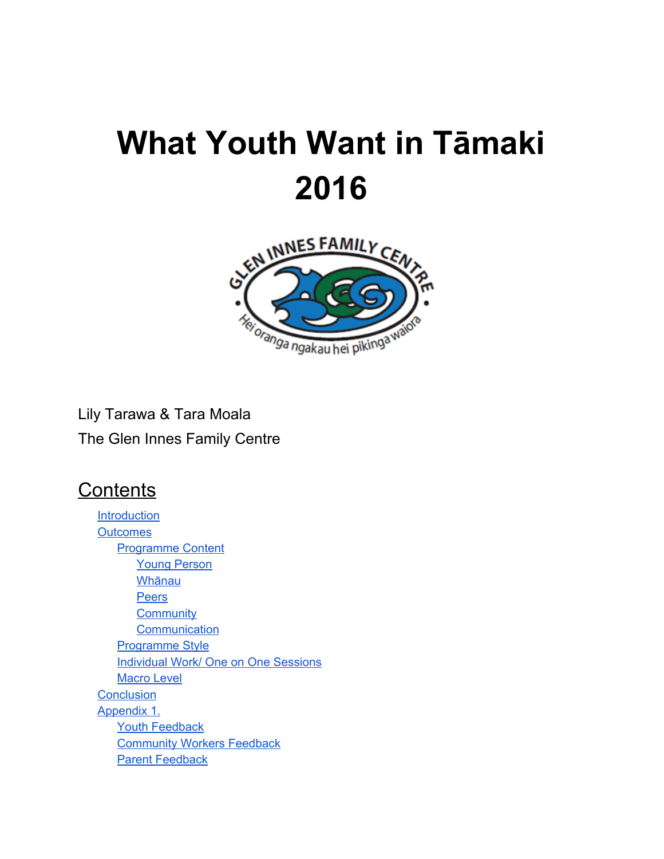# **What Youth Want in Tāmaki 2016**



Lily Tarawa & Tara Moala The Glen Innes Family Centre

## **Contents**

**[Introduction](#page-1-0) [Outcomes](#page-2-0)** [Programme](#page-2-1) Content Young [Person](#page-3-0) [Whānau](#page-3-1) **[Peers](#page-3-2) [Community](#page-3-3) [Communication](#page-3-4)** [Programme](#page-5-0) Style **[Individual](#page-6-0) Work/ One on One Sessions** [Macro](#page-7-0) Level **[Conclusion](#page-8-0)** [Appendix](#page-9-0) 1. Youth [Feedback](#page-9-1) **[Community](#page-11-0) Workers Feedback** Parent [Feedback](#page-14-0)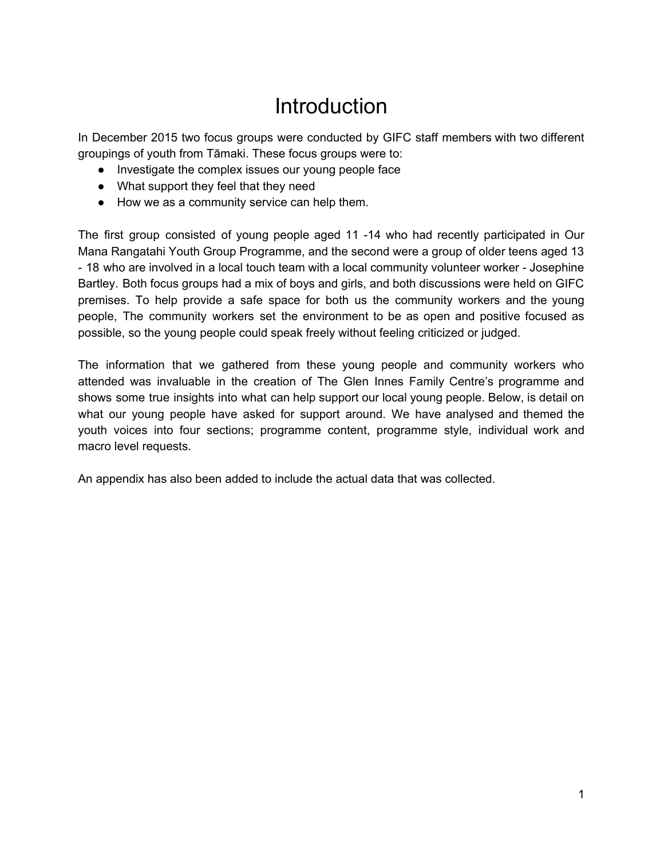## **Introduction**

<span id="page-1-0"></span>In December 2015 two focus groups were conducted by GIFC staff members with two different groupings of youth from Tāmaki. These focus groups were to:

- Investigate the complex issues our young people face
- What support they feel that they need
- How we as a community service can help them.

The first group consisted of young people aged 11 -14 who had recently participated in Our Mana Rangatahi Youth Group Programme, and the second were a group of older teens aged 13 - 18 who are involved in a local touch team with a local community volunteer worker - Josephine Bartley. Both focus groups had a mix of boys and girls, and both discussions were held on GIFC premises. To help provide a safe space for both us the community workers and the young people, The community workers set the environment to be as open and positive focused as possible, so the young people could speak freely without feeling criticized or judged.

The information that we gathered from these young people and community workers who attended was invaluable in the creation of The Glen Innes Family Centre's programme and shows some true insights into what can help support our local young people. Below, is detail on what our young people have asked for support around. We have analysed and themed the youth voices into four sections; programme content, programme style, individual work and macro level requests.

An appendix has also been added to include the actual data that was collected.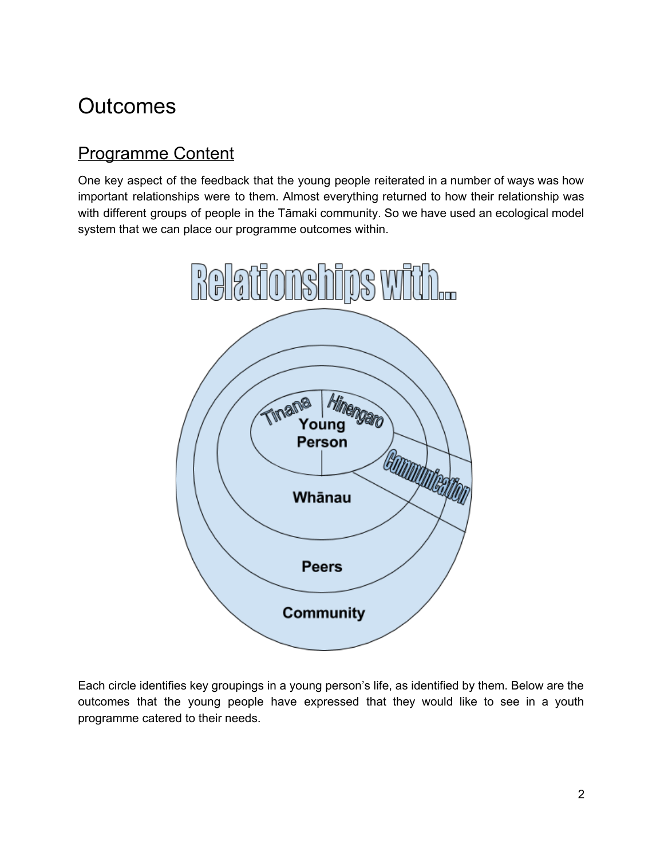## <span id="page-2-0"></span>**Outcomes**

## <span id="page-2-1"></span>Programme Content

One key aspect of the feedback that the young people reiterated in a number of ways was how important relationships were to them. Almost everything returned to how their relationship was with different groups of people in the Tāmaki community. So we have used an ecological model system that we can place our programme outcomes within.



Each circle identifies key groupings in a young person's life, as identified by them. Below are the outcomes that the young people have expressed that they would like to see in a youth programme catered to their needs.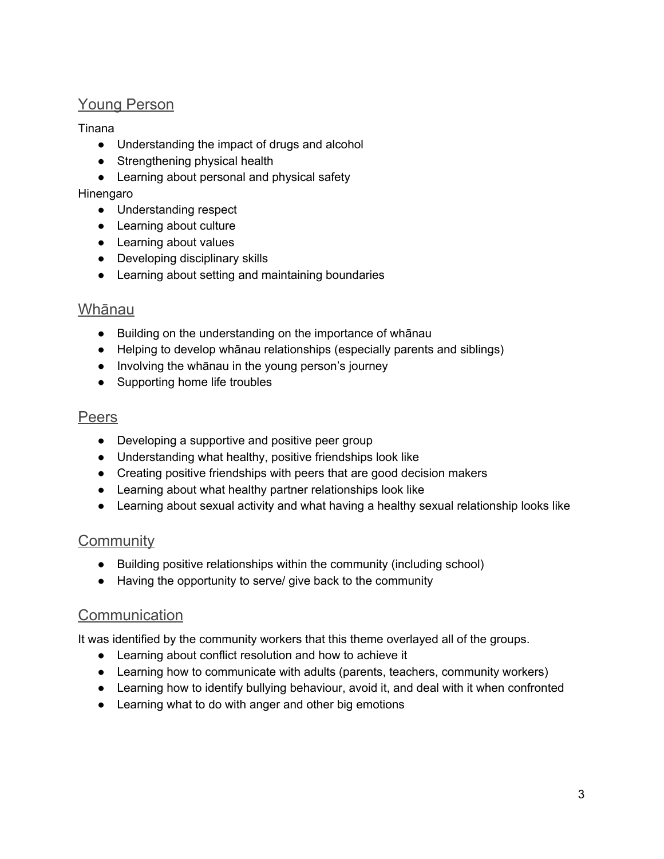### <span id="page-3-0"></span>Young Person

#### Tinana

- Understanding the impact of drugs and alcohol
- Strengthening physical health
- Learning about personal and physical safety

#### Hinengaro

- Understanding respect
- Learning about culture
- Learning about values
- Developing disciplinary skills
- Learning about setting and maintaining boundaries

#### <span id="page-3-1"></span>Whānau

- Building on the understanding on the importance of whānau
- Helping to develop whānau relationships (especially parents and siblings)
- Involving the whānau in the young person's journey
- Supporting home life troubles

#### <span id="page-3-2"></span>Peers

- Developing a supportive and positive peer group
- Understanding what healthy, positive friendships look like
- Creating positive friendships with peers that are good decision makers
- Learning about what healthy partner relationships look like
- Learning about sexual activity and what having a healthy sexual relationship looks like

#### <span id="page-3-3"></span>**Community**

- Building positive relationships within the community (including school)
- Having the opportunity to serve/ give back to the community

#### <span id="page-3-4"></span>Communication

It was identified by the community workers that this theme overlayed all of the groups.

- Learning about conflict resolution and how to achieve it
- Learning how to communicate with adults (parents, teachers, community workers)
- Learning how to identify bullying behaviour, avoid it, and deal with it when confronted
- Learning what to do with anger and other big emotions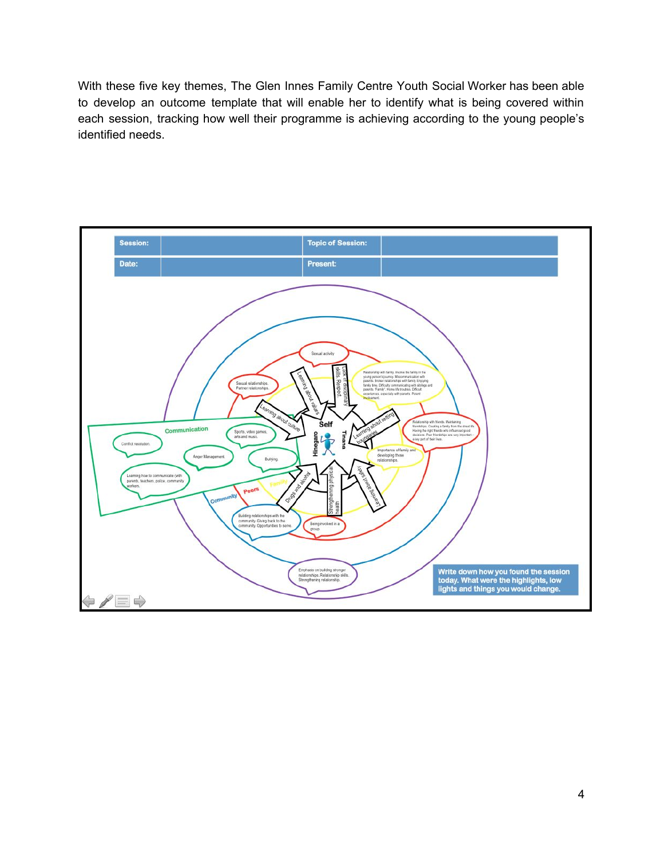With these five key themes, The Glen Innes Family Centre Youth Social Worker has been able to develop an outcome template that will enable her to identify what is being covered within each session, tracking how well their programme is achieving according to the young people's identified needs.

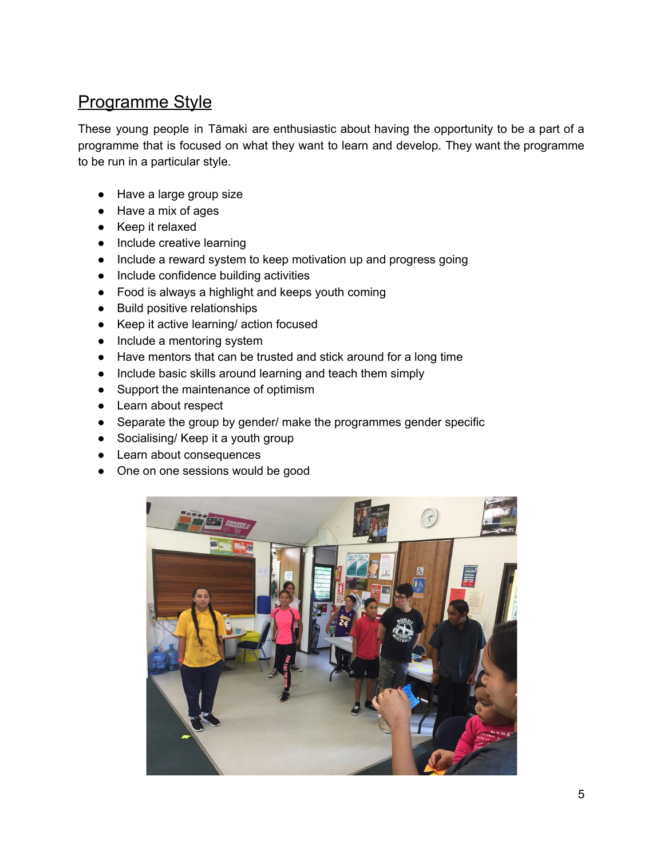## <span id="page-5-0"></span>Programme Style

These young people in Tāmaki are enthusiastic about having the opportunity to be a part of a programme that is focused on what they want to learn and develop. They want the programme to be run in a particular style.

- Have a large group size
- Have a mix of ages
- Keep it relaxed
- Include creative learning
- Include a reward system to keep motivation up and progress going
- Include confidence building activities
- Food is always a highlight and keeps youth coming
- Build positive relationships
- Keep it active learning/ action focused
- Include a mentoring system
- Have mentors that can be trusted and stick around for a long time
- Include basic skills around learning and teach them simply
- Support the maintenance of optimism
- Learn about respect
- Separate the group by gender/ make the programmes gender specific
- Socialising/ Keep it a youth group
- Learn about consequences
- One on one sessions would be good

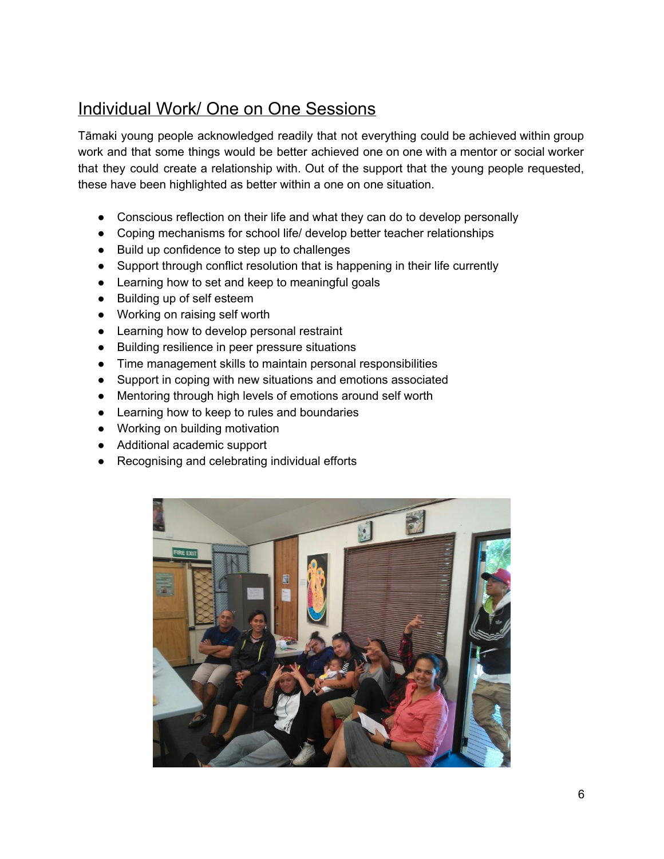## <span id="page-6-0"></span>Individual Work/ One on One Sessions

Tāmaki young people acknowledged readily that not everything could be achieved within group work and that some things would be better achieved one on one with a mentor or social worker that they could create a relationship with. Out of the support that the young people requested, these have been highlighted as better within a one on one situation.

- Conscious reflection on their life and what they can do to develop personally
- Coping mechanisms for school life/ develop better teacher relationships
- Build up confidence to step up to challenges
- Support through conflict resolution that is happening in their life currently
- Learning how to set and keep to meaningful goals
- Building up of self esteem
- Working on raising self worth
- Learning how to develop personal restraint
- Building resilience in peer pressure situations
- Time management skills to maintain personal responsibilities
- Support in coping with new situations and emotions associated
- Mentoring through high levels of emotions around self worth
- Learning how to keep to rules and boundaries
- Working on building motivation
- Additional academic support
- Recognising and celebrating individual efforts

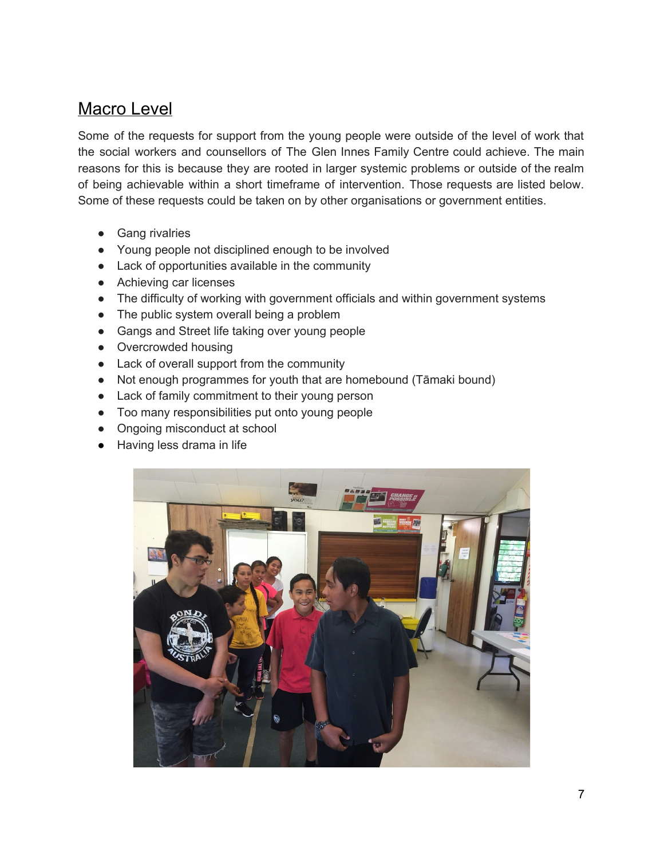### <span id="page-7-0"></span>Macro Level

Some of the requests for support from the young people were outside of the level of work that the social workers and counsellors of The Glen Innes Family Centre could achieve. The main reasons for this is because they are rooted in larger systemic problems or outside of the realm of being achievable within a short timeframe of intervention. Those requests are listed below. Some of these requests could be taken on by other organisations or government entities.

- **Gang rivalries**
- Young people not disciplined enough to be involved
- Lack of opportunities available in the community
- Achieving car licenses
- The difficulty of working with government officials and within government systems
- The public system overall being a problem
- Gangs and Street life taking over young people
- Overcrowded housing
- Lack of overall support from the community
- Not enough programmes for youth that are homebound (Tāmaki bound)
- Lack of family commitment to their young person
- Too many responsibilities put onto young people
- Ongoing misconduct at school
- Having less drama in life

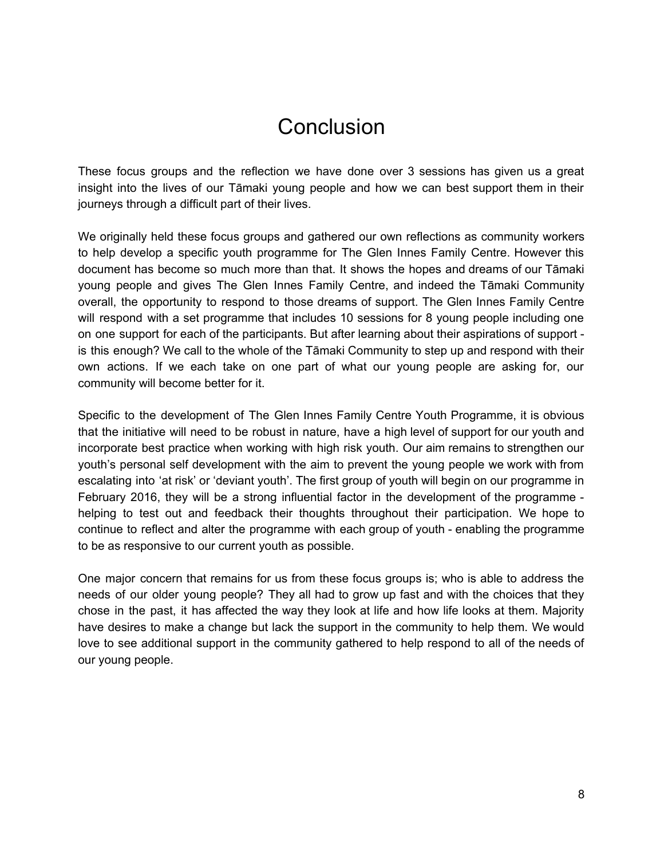## **Conclusion**

<span id="page-8-0"></span>These focus groups and the reflection we have done over 3 sessions has given us a great insight into the lives of our Tāmaki young people and how we can best support them in their journeys through a difficult part of their lives.

We originally held these focus groups and gathered our own reflections as community workers to help develop a specific youth programme for The Glen Innes Family Centre. However this document has become so much more than that. It shows the hopes and dreams of our Tāmaki young people and gives The Glen Innes Family Centre, and indeed the Tāmaki Community overall, the opportunity to respond to those dreams of support. The Glen Innes Family Centre will respond with a set programme that includes 10 sessions for 8 young people including one on one support for each of the participants. But after learning about their aspirations of support is this enough? We call to the whole of the Tāmaki Community to step up and respond with their own actions. If we each take on one part of what our young people are asking for, our community will become better for it.

Specific to the development of The Glen Innes Family Centre Youth Programme, it is obvious that the initiative will need to be robust in nature, have a high level of support for our youth and incorporate best practice when working with high risk youth. Our aim remains to strengthen our youth's personal self development with the aim to prevent the young people we work with from escalating into 'at risk' or 'deviant youth'. The first group of youth will begin on our programme in February 2016, they will be a strong influential factor in the development of the programme helping to test out and feedback their thoughts throughout their participation. We hope to continue to reflect and alter the programme with each group of youth - enabling the programme to be as responsive to our current youth as possible.

One major concern that remains for us from these focus groups is; who is able to address the needs of our older young people? They all had to grow up fast and with the choices that they chose in the past, it has affected the way they look at life and how life looks at them. Majority have desires to make a change but lack the support in the community to help them. We would love to see additional support in the community gathered to help respond to all of the needs of our young people.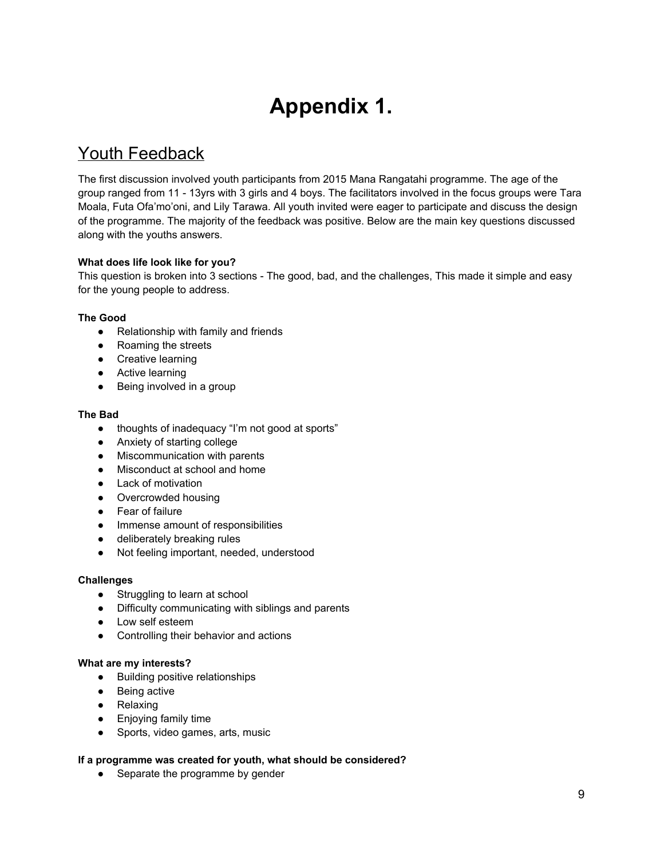## **Appendix 1.**

## <span id="page-9-1"></span><span id="page-9-0"></span>Youth Feedback

The first discussion involved youth participants from 2015 Mana Rangatahi programme. The age of the group ranged from 11 - 13yrs with 3 girls and 4 boys. The facilitators involved in the focus groups were Tara Moala, Futa Ofa'mo'oni, and Lily Tarawa. All youth invited were eager to participate and discuss the design of the programme. The majority of the feedback was positive. Below are the main key questions discussed along with the youths answers.

#### **What does life look like for you?**

This question is broken into 3 sections - The good, bad, and the challenges, This made it simple and easy for the young people to address.

#### **The Good**

- Relationship with family and friends
- Roaming the streets
- Creative learning
- Active learning
- Being involved in a group

#### **The Bad**

- thoughts of inadequacy "I'm not good at sports"
- Anxiety of starting college
- Miscommunication with parents
- Misconduct at school and home
- Lack of motivation
- Overcrowded housing
- Fear of failure
- Immense amount of responsibilities
- deliberately breaking rules
- Not feeling important, needed, understood

#### **Challenges**

- Struggling to learn at school
- Difficulty communicating with siblings and parents
- Low self esteem
- Controlling their behavior and actions

#### **What are my interests?**

- Building positive relationships
- Being active
- Relaxing
- Enjoying family time
- Sports, video games, arts, music

#### **If a programme was created for youth, what should be considered?**

• Separate the programme by gender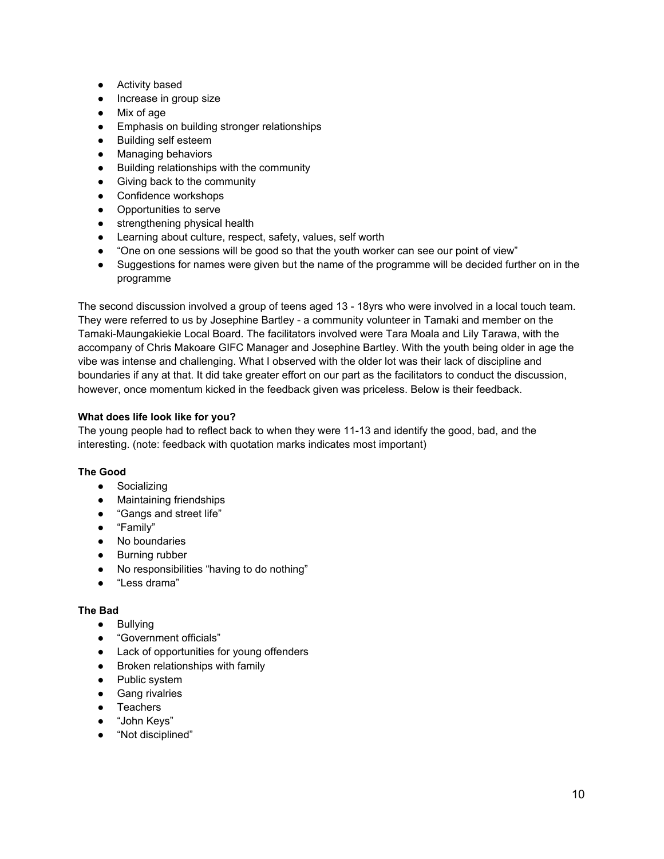- Activity based
- Increase in group size
- Mix of age
- Emphasis on building stronger relationships
- Building self esteem
- Managing behaviors
- Building relationships with the community
- Giving back to the community
- Confidence workshops
- Opportunities to serve
- strengthening physical health
- Learning about culture, respect, safety, values, self worth
- "One on one sessions will be good so that the youth worker can see our point of view"
- Suggestions for names were given but the name of the programme will be decided further on in the programme

The second discussion involved a group of teens aged 13 - 18yrs who were involved in a local touch team. They were referred to us by Josephine Bartley - a community volunteer in Tamaki and member on the Tamaki-Maungakiekie Local Board. The facilitators involved were Tara Moala and Lily Tarawa, with the accompany of Chris Makoare GIFC Manager and Josephine Bartley. With the youth being older in age the vibe was intense and challenging. What I observed with the older lot was their lack of discipline and boundaries if any at that. It did take greater effort on our part as the facilitators to conduct the discussion, however, once momentum kicked in the feedback given was priceless. Below is their feedback.

#### **What does life look like for you?**

The young people had to reflect back to when they were 11-13 and identify the good, bad, and the interesting. (note: feedback with quotation marks indicates most important)

#### **The Good**

- Socializing
- Maintaining friendships
- "Gangs and street life"
- "Family"
- No boundaries
- Burning rubber
- No responsibilities "having to do nothing"
- "Less drama"

#### **The Bad**

- Bullying
- "Government officials"
- Lack of opportunities for young offenders
- Broken relationships with family
- Public system
- Gang rivalries
- Teachers
- "John Keys"
- "Not disciplined"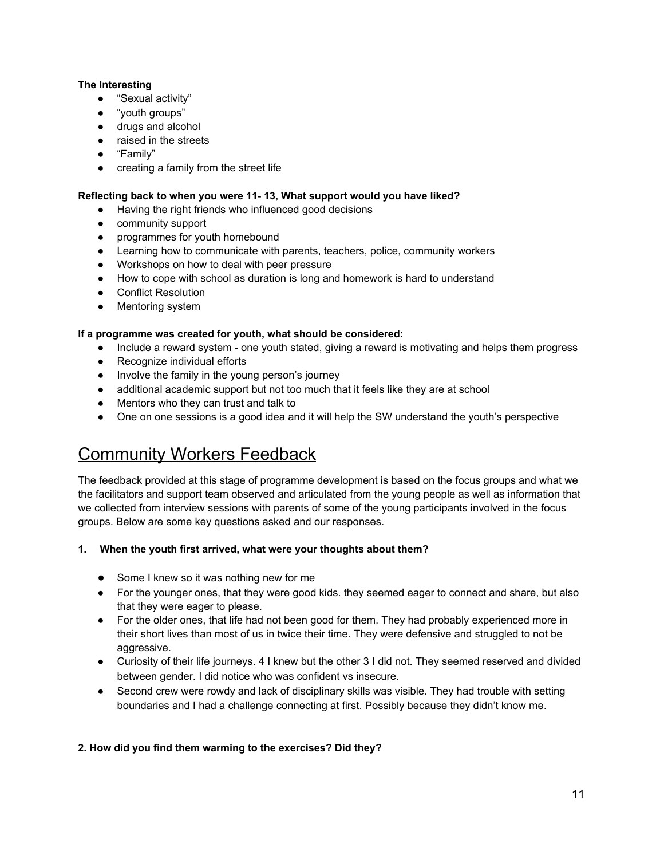#### **The Interesting**

- "Sexual activity"
- "youth groups"
- drugs and alcohol
- raised in the streets
- "Family"
- creating a family from the street life

#### **Reflecting back to when you were 11 13, What support would you have liked?**

- Having the right friends who influenced good decisions
- community support
- programmes for youth homebound
- Learning how to communicate with parents, teachers, police, community workers
- Workshops on how to deal with peer pressure
- How to cope with school as duration is long and homework is hard to understand
- Conflict Resolution
- Mentoring system

#### **If a programme was created for youth, what should be considered:**

- Include a reward system one youth stated, giving a reward is motivating and helps them progress
- Recognize individual efforts
- Involve the family in the young person's journey
- additional academic support but not too much that it feels like they are at school
- Mentors who they can trust and talk to
- One on one sessions is a good idea and it will help the SW understand the youth's perspective

## <span id="page-11-0"></span>Community Workers Feedback

The feedback provided at this stage of programme development is based on the focus groups and what we the facilitators and support team observed and articulated from the young people as well as information that we collected from interview sessions with parents of some of the young participants involved in the focus groups. Below are some key questions asked and our responses.

#### **1. When the youth first arrived, what were your thoughts about them?**

- Some I knew so it was nothing new for me
- For the younger ones, that they were good kids. they seemed eager to connect and share, but also that they were eager to please.
- For the older ones, that life had not been good for them. They had probably experienced more in their short lives than most of us in twice their time. They were defensive and struggled to not be aggressive.
- Curiosity of their life journeys. 4 I knew but the other 3 I did not. They seemed reserved and divided between gender. I did notice who was confident vs insecure.
- Second crew were rowdy and lack of disciplinary skills was visible. They had trouble with setting boundaries and I had a challenge connecting at first. Possibly because they didn't know me.

#### **2. How did you find them warming to the exercises? Did they?**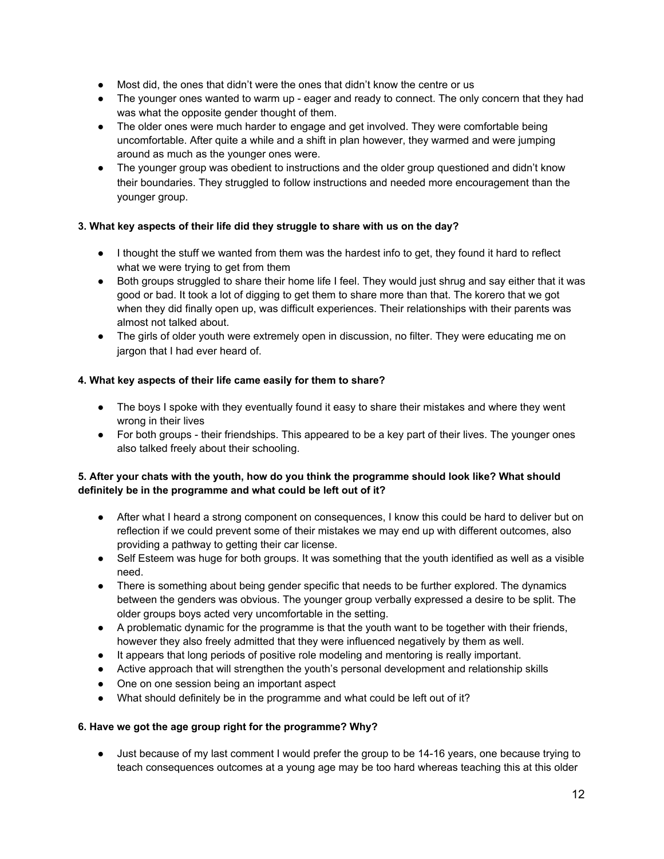- Most did, the ones that didn't were the ones that didn't know the centre or us
- The younger ones wanted to warm up eager and ready to connect. The only concern that they had was what the opposite gender thought of them.
- The older ones were much harder to engage and get involved. They were comfortable being uncomfortable. After quite a while and a shift in plan however, they warmed and were jumping around as much as the younger ones were.
- The younger group was obedient to instructions and the older group questioned and didn't know their boundaries. They struggled to follow instructions and needed more encouragement than the younger group.

#### **3. What key aspects of their life did they struggle to share with us on the day?**

- I thought the stuff we wanted from them was the hardest info to get, they found it hard to reflect what we were trying to get from them
- Both groups struggled to share their home life I feel. They would just shrug and say either that it was good or bad. It took a lot of digging to get them to share more than that. The korero that we got when they did finally open up, was difficult experiences. Their relationships with their parents was almost not talked about.
- The girls of older youth were extremely open in discussion, no filter. They were educating me on jargon that I had ever heard of.

#### **4. What key aspects of their life came easily for them to share?**

- The boys I spoke with they eventually found it easy to share their mistakes and where they went wrong in their lives
- For both groups their friendships. This appeared to be a key part of their lives. The younger ones also talked freely about their schooling.

#### **5. After your chats with the youth, how do you think the programme should look like? What should definitely be in the programme and what could be left out of it?**

- After what I heard a strong component on consequences, I know this could be hard to deliver but on reflection if we could prevent some of their mistakes we may end up with different outcomes, also providing a pathway to getting their car license.
- Self Esteem was huge for both groups. It was something that the youth identified as well as a visible need.
- There is something about being gender specific that needs to be further explored. The dynamics between the genders was obvious. The younger group verbally expressed a desire to be split. The older groups boys acted very uncomfortable in the setting.
- A problematic dynamic for the programme is that the youth want to be together with their friends, however they also freely admitted that they were influenced negatively by them as well.
- It appears that long periods of positive role modeling and mentoring is really important.
- Active approach that will strengthen the youth's personal development and relationship skills
- One on one session being an important aspect
- What should definitely be in the programme and what could be left out of it?

#### **6. Have we got the age group right for the programme? Why?**

• Just because of my last comment I would prefer the group to be 14-16 years, one because trying to teach consequences outcomes at a young age may be too hard whereas teaching this at this older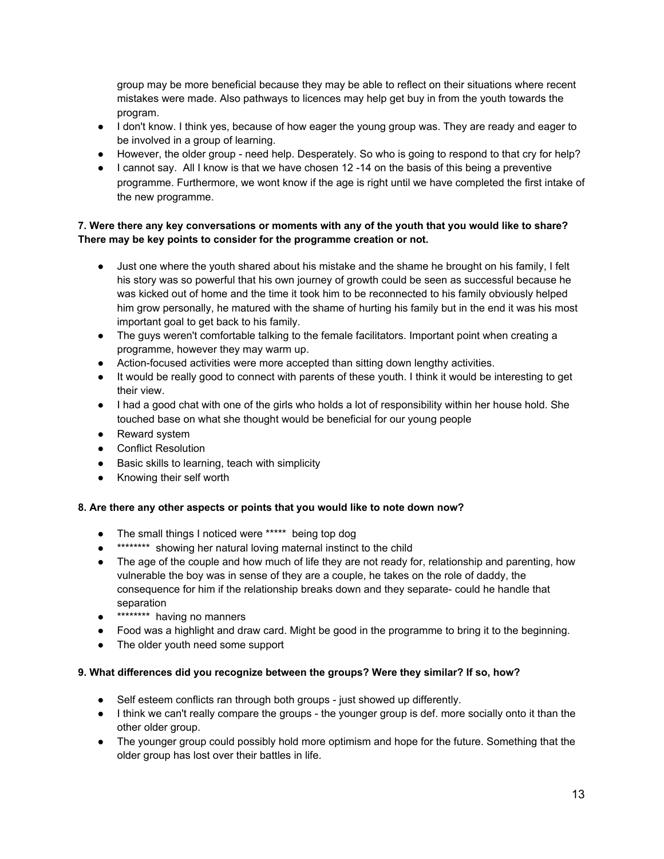group may be more beneficial because they may be able to reflect on their situations where recent mistakes were made. Also pathways to licences may help get buy in from the youth towards the program.

- I don't know. I think yes, because of how eager the young group was. They are ready and eager to be involved in a group of learning.
- However, the older group need help. Desperately. So who is going to respond to that cry for help?
- I cannot say. All I know is that we have chosen 12 -14 on the basis of this being a preventive programme. Furthermore, we wont know if the age is right until we have completed the first intake of the new programme.

#### 7. Were there any key conversations or moments with any of the youth that you would like to share? **There may be key points to consider for the programme creation or not.**

- Just one where the youth shared about his mistake and the shame he brought on his family, I felt his story was so powerful that his own journey of growth could be seen as successful because he was kicked out of home and the time it took him to be reconnected to his family obviously helped him grow personally, he matured with the shame of hurting his family but in the end it was his most important goal to get back to his family.
- The guys weren't comfortable talking to the female facilitators. Important point when creating a programme, however they may warm up.
- Action-focused activities were more accepted than sitting down lengthy activities.
- It would be really good to connect with parents of these youth. I think it would be interesting to get their view.
- I had a good chat with one of the girls who holds a lot of responsibility within her house hold. She touched base on what she thought would be beneficial for our young people
- Reward system
- Conflict Resolution
- Basic skills to learning, teach with simplicity
- Knowing their self worth

#### **8. Are there any other aspects or points that you would like to note down now?**

- The small things I noticed were \*\*\*\*\* being top dog
- \*\*\*\*\*\*\*\* showing her natural loving maternal instinct to the child
- The age of the couple and how much of life they are not ready for, relationship and parenting, how vulnerable the boy was in sense of they are a couple, he takes on the role of daddy, the consequence for him if the relationship breaks down and they separate could he handle that separation
- \*\*\*\*\*\*\*\* having no manners
- Food was a highlight and draw card. Might be good in the programme to bring it to the beginning.
- The older youth need some support

#### **9. What differences did you recognize between the groups? Were they similar? If so, how?**

- Self esteem conflicts ran through both groups just showed up differently.
- I think we can't really compare the groups the younger group is def. more socially onto it than the other older group.
- The younger group could possibly hold more optimism and hope for the future. Something that the older group has lost over their battles in life.